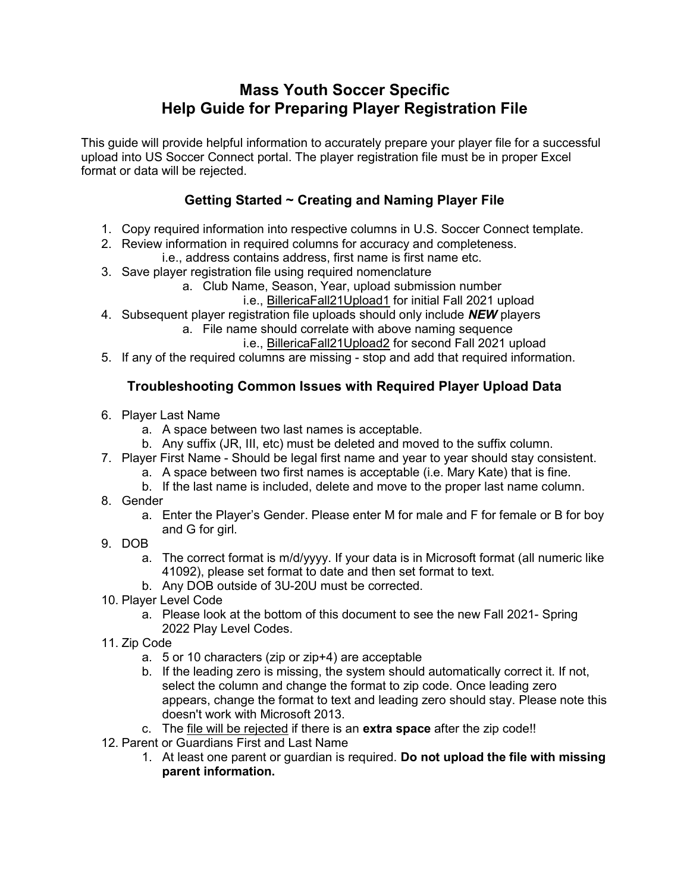# Mass Youth Soccer Specific Help Guide for Preparing Player Registration File

This guide will provide helpful information to accurately prepare your player file for a successful upload into US Soccer Connect portal. The player registration file must be in proper Excel format or data will be rejected.

# Getting Started ~ Creating and Naming Player File

- 1. Copy required information into respective columns in U.S. Soccer Connect template.
- 2. Review information in required columns for accuracy and completeness. i.e., address contains address, first name is first name etc.
- 3. Save player registration file using required nomenclature
	- a. Club Name, Season, Year, upload submission number
		- i.e., BillericaFall21Upload1 for initial Fall 2021 upload
- 4. Subsequent player registration file uploads should only include **NEW** players
	- a. File name should correlate with above naming sequence i.e., BillericaFall21Upload2 for second Fall 2021 upload
- 5. If any of the required columns are missing stop and add that required information.

### Troubleshooting Common Issues with Required Player Upload Data

- 6. Player Last Name
	- a. A space between two last names is acceptable.
	- b. Any suffix (JR, III, etc) must be deleted and moved to the suffix column.
- 7. Player First Name Should be legal first name and year to year should stay consistent.
	- a. A space between two first names is acceptable (i.e. Mary Kate) that is fine.
	- b. If the last name is included, delete and move to the proper last name column.
- 8. Gender
	- a. Enter the Player's Gender. Please enter M for male and F for female or B for boy and G for girl.
- 9. DOB
	- a. The correct format is m/d/yyyy. If your data is in Microsoft format (all numeric like 41092), please set format to date and then set format to text.
	- b. Any DOB outside of 3U-20U must be corrected.
- 10. Player Level Code
	- a. Please look at the bottom of this document to see the new Fall 2021- Spring 2022 Play Level Codes.
- 11. Zip Code
	- a. 5 or 10 characters (zip or zip+4) are acceptable
	- b. If the leading zero is missing, the system should automatically correct it. If not, select the column and change the format to zip code. Once leading zero appears, change the format to text and leading zero should stay. Please note this doesn't work with Microsoft 2013.
	- c. The file will be rejected if there is an **extra space** after the zip code!!
- 12. Parent or Guardians First and Last Name
	- 1. At least one parent or guardian is required. Do not upload the file with missing parent information.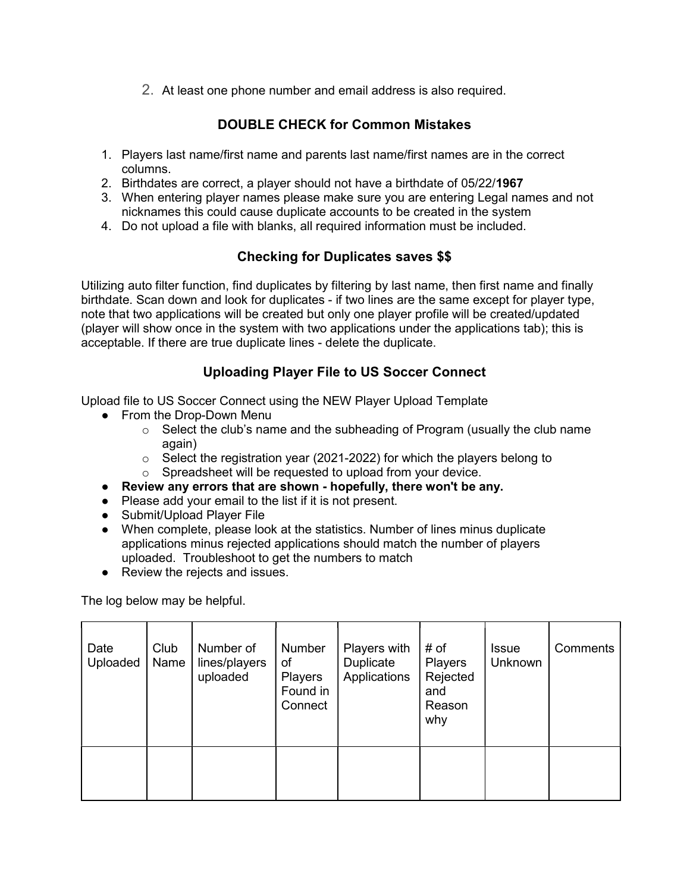2. At least one phone number and email address is also required.

## DOUBLE CHECK for Common Mistakes

- 1. Players last name/first name and parents last name/first names are in the correct columns.
- 2. Birthdates are correct, a player should not have a birthdate of 05/22/1967
- 3. When entering player names please make sure you are entering Legal names and not nicknames this could cause duplicate accounts to be created in the system
- 4. Do not upload a file with blanks, all required information must be included.

### Checking for Duplicates saves \$\$

Utilizing auto filter function, find duplicates by filtering by last name, then first name and finally birthdate. Scan down and look for duplicates - if two lines are the same except for player type, note that two applications will be created but only one player profile will be created/updated (player will show once in the system with two applications under the applications tab); this is acceptable. If there are true duplicate lines - delete the duplicate.

### Uploading Player File to US Soccer Connect

Upload file to US Soccer Connect using the NEW Player Upload Template

- From the Drop-Down Menu
	- $\circ$  Select the club's name and the subheading of Program (usually the club name again)
	- o Select the registration year (2021-2022) for which the players belong to
	- $\circ$  Spreadsheet will be requested to upload from your device.
- Review any errors that are shown hopefully, there won't be any.
- Please add your email to the list if it is not present.
- Submit/Upload Player File
- When complete, please look at the statistics. Number of lines minus duplicate applications minus rejected applications should match the number of players uploaded. Troubleshoot to get the numbers to match
- Review the rejects and issues.

The log below may be helpful.

| Date<br>Uploaded | Club<br>Name | Number of<br>lines/players<br>uploaded | Number<br>of<br>Players<br>Found in<br>Connect | Players with<br>Duplicate<br>Applications | # of<br>Players<br>Rejected<br>and<br>Reason<br>why | <b>Issue</b><br>Unknown | Comments |
|------------------|--------------|----------------------------------------|------------------------------------------------|-------------------------------------------|-----------------------------------------------------|-------------------------|----------|
|                  |              |                                        |                                                |                                           |                                                     |                         |          |